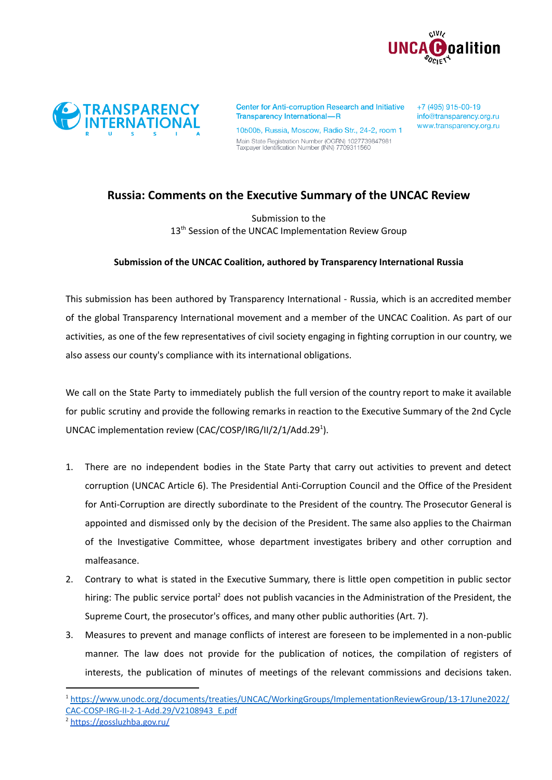



**Center for Anti-corruption Research and Initiative Transparency International-R** 

105005, Russia, Moscow, Radio Str., 24-2, room 1 Main State Registration Number (OGRN) 1027739847981<br>Taxpayer Identification Number (INN) 7709311560

+7 (495) 915-00-19 info@transparency.org.ru www.transparency.org.ru

## **Russia: Comments on the Executive Summary of the UNCAC Review**

Submission to the 13<sup>th</sup> Session of the UNCAC Implementation Review Group

## **Submission of the UNCAC Coalition, authored by Transparency International Russia**

This submission has been authored by Transparency International - Russia, which is an accredited member of the global Transparency International movement and a member of the UNCAC Coalition. As part of our activities, as one of the few representatives of civil society engaging in fighting corruption in our country, we also assess our county's compliance with its international obligations.

We call on the State Party to immediately publish the full version of the country report to make it available for public scrutiny and provide the following remarks in reaction to the Executive Summary of the 2nd Cycle UNCAC implementation review (CAC/COSP/IRG/II/2/1/Add.29 1 ).

- 1. There are no independent bodies in the State Party that carry out activities to prevent and detect corruption (UNCAC Article 6). The Presidential Anti-Corruption Council and the Office of the President for Anti-Corruption are directly subordinate to the President of the country. The Prosecutor General is appointed and dismissed only by the decision of the President. The same also applies to the Chairman of the Investigative Committee, whose department investigates bribery and other corruption and malfeasance.
- 2. Contrary to what is stated in the Executive Summary, there is little open competition in public sector hiring: The public service portal<sup>2</sup> does not publish vacancies in the Administration of the President, the Supreme Court, the prosecutor's offices, and many other public authorities (Art. 7).
- 3. Measures to prevent and manage conflicts of interest are foreseen to be implemented in a non-public manner. The law does not provide for the publication of notices, the compilation of registers of interests, the publication of minutes of meetings of the relevant commissions and decisions taken.

<sup>1</sup> [https://www.unodc.org/documents/treaties/UNCAC/WorkingGroups/ImplementationReviewGroup/13-17June2022/](https://www.unodc.org/documents/treaties/UNCAC/WorkingGroups/ImplementationReviewGroup/13-17June2022/CAC-COSP-IRG-II-2-1-Add.29/V2108943_E.pdf) [CAC-COSP-IRG-II-2-1-Add.29/V2108943\\_E.pdf](https://www.unodc.org/documents/treaties/UNCAC/WorkingGroups/ImplementationReviewGroup/13-17June2022/CAC-COSP-IRG-II-2-1-Add.29/V2108943_E.pdf)

<sup>2</sup> <https://gossluzhba.gov.ru/>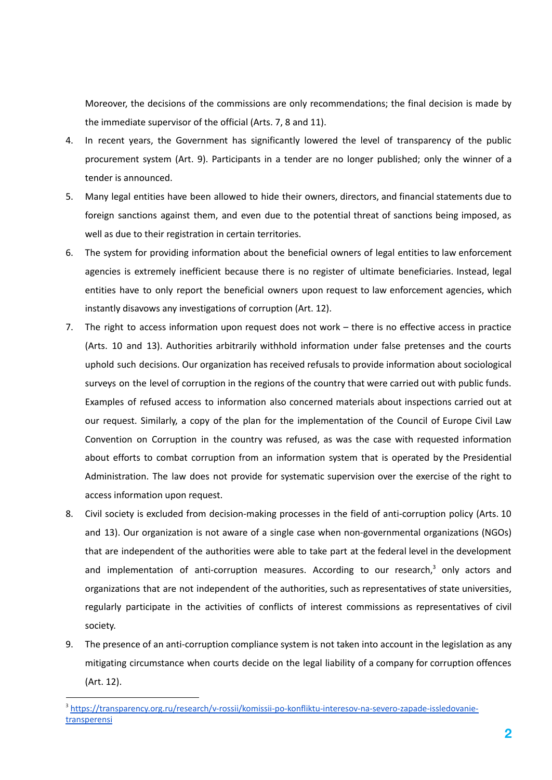Moreover, the decisions of the commissions are only recommendations; the final decision is made by the immediate supervisor of the official (Arts. 7, 8 and 11).

- 4. In recent years, the Government has significantly lowered the level of transparency of the public procurement system (Art. 9). Participants in a tender are no longer published; only the winner of a tender is announced.
- 5. Many legal entities have been allowed to hide their owners, directors, and financial statements due to foreign sanctions against them, and even due to the potential threat of sanctions being imposed, as well as due to their registration in certain territories.
- 6. The system for providing information about the beneficial owners of legal entities to law enforcement agencies is extremely inefficient because there is no register of ultimate beneficiaries. Instead, legal entities have to only report the beneficial owners upon request to law enforcement agencies, which instantly disavows any investigations of corruption (Art. 12).
- 7. The right to access information upon request does not work there is no effective access in practice (Arts. 10 and 13). Authorities arbitrarily withhold information under false pretenses and the courts uphold such decisions. Our organization has received refusals to provide information about sociological surveys on the level of corruption in the regions of the country that were carried out with public funds. Examples of refused access to information also concerned materials about inspections carried out at our request. Similarly, a copy of the plan for the implementation of the Council of Europe Civil Law Convention on Corruption in the country was refused, as was the case with requested information about efforts to combat corruption from an information system that is operated by the Presidential Administration. The law does not provide for systematic supervision over the exercise of the right to access information upon request.
- 8. Civil society is excluded from decision-making processes in the field of anti-corruption policy (Arts. 10 and 13). Our organization is not aware of a single case when non-governmental organizations (NGOs) that are independent of the authorities were able to take part at the federal level in the development and implementation of anti-corruption measures. According to our research, <sup>3</sup> only actors and organizations that are not independent of the authorities, such as representatives of state universities, regularly participate in the activities of conflicts of interest commissions as representatives of civil society.
- 9. The presence of an anti-corruption compliance system is not taken into account in the legislation as any mitigating circumstance when courts decide on the legal liability of a company for corruption offences (Art. 12).

<sup>3</sup> [https://transparency.org.ru/research/v-rossii/komissii-po-konfliktu-interesov-na-severo-zapade-issledovanie](https://transparency.org.ru/research/v-rossii/komissii-po-konfliktu-interesov-na-severo-zapade-issledovanie-transperensi)[transperensi](https://transparency.org.ru/research/v-rossii/komissii-po-konfliktu-interesov-na-severo-zapade-issledovanie-transperensi)